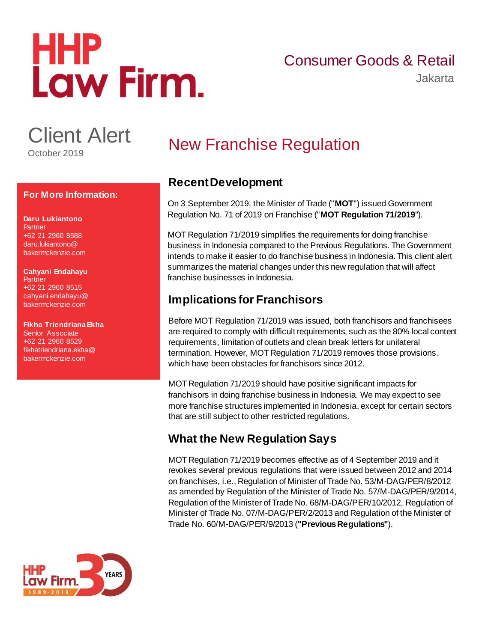# HHP<br>Law Firm.

# Consumer Goods & Retail

Jakarta

Client Alert

October 2019

#### **For More Information:**

**Daru Lukiantono Partner** +62 21 2960 8588 [daru.lukiantono@](mailto:Daru.Lukiantono@bakermckenzie.com) [bakermckenzie.com](mailto:Daru.Lukiantono@bakermckenzie.com)

**Cahyani Endahayu Partner** +62 21 2960 8515 [cahyani.endahayu@](mailto:Cahyani.Endahayu@bakermckenzie.com) [bakermckenzie.com](mailto:Cahyani.Endahayu@bakermckenzie.com)

**Fikha Triendriana Ekha** Senior Associate +62 21 2960 8529 [fikhatriendriana.ekha@](mailto:FikhaTriendriana.Ekha@bakermckenzie.com) [bakermckenzie.com](mailto:FikhaTriendriana.Ekha@bakermckenzie.com)

# New Franchise Regulation

## **Recent Development**

On 3 September 2019, the Minister of Trade ("**MOT**") issued Government Regulation No. 71 of 2019 on Franchise ("**MOT Regulation 71/2019**").

MOT Regulation 71/2019 simplifies the requirements for doing franchise business in Indonesia compared to the Previous Regulations. The Government intends to make it easier to do franchise business in Indonesia. This client alert summarizes the material changes under this new regulation that will affect franchise businesses in Indonesia.

# **Implications for Franchisors**

Before MOT Regulation 71/2019 was issued, both franchisors and franchisees are required to comply with difficult requirements, such as the 80% local content requirements, limitation of outlets and clean break letters for unilateral termination. However, MOT Regulation 71/2019 removes those provisions, which have been obstacles for franchisors since 2012.

MOT Regulation 71/2019 should have positive significant impacts for franchisors in doing franchise business in Indonesia. We may expect to see more franchise structures implemented in Indonesia, except for certain sectors that are still subject to other restricted regulations.

## **What the New Regulation Says**

MOT Regulation 71/2019 becomes effective as of 4 September 2019 and it revokes several previous regulations that were issued between 2012 and 2014 on franchises, i.e., Regulation of Minister of Trade No. 53/M-DAG/PER/8/2012 as amended by Regulation of the Minister of Trade No. 57/M-DAG/PER/9/2014, Regulation of the Minister of Trade No. 68/M-DAG/PER/10/2012, Regulation of Minister of Trade No. 07/M-DAG/PER/2/2013 and Regulation of the Minister of Trade No. 60/M-DAG/PER/9/2013 (**"Previous Regulations"**).

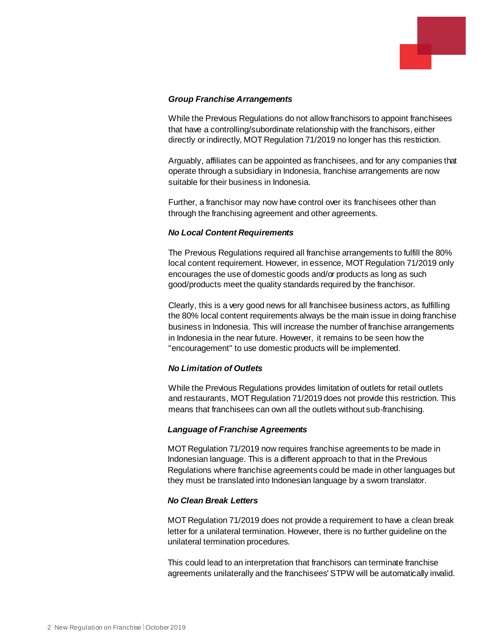

#### *Group Franchise Arrangements*

While the Previous Regulations do not allow franchisors to appoint franchisees that have a controlling/subordinate relationship with the franchisors, either directly or indirectly, MOT Regulation 71/2019 no longer has this restriction.

Arguably, affiliates can be appointed as franchisees, and for any companies that operate through a subsidiary in Indonesia, franchise arrangements are now suitable for their business in Indonesia.

Further, a franchisor may now have control over its franchisees other than through the franchising agreement and other agreements.

#### *No Local Content Requirements*

The Previous Regulations required all franchise arrangements to fulfill the 80% local content requirement. However, in essence, MOT Regulation 71/2019 only encourages the use of domestic goods and/or products as long as such good/products meet the quality standards required by the franchisor.

Clearly, this is a very good news for all franchisee business actors, as fulfilling the 80% local content requirements always be the main issue in doing franchise business in Indonesia. This will increase the number of franchise arrangements in Indonesia in the near future. However, it remains to be seen how the "encouragement" to use domestic products will be implemented.

#### *No Limitation of Outlets*

While the Previous Regulations provides limitation of outlets for retail outlets and restaurants, MOT Regulation 71/2019 does not provide this restriction. This means that franchisees can own all the outlets without sub-franchising.

#### *Language of Franchise Agreements*

MOT Regulation 71/2019 now requires franchise agreements to be made in Indonesian language. This is a different approach to that in the Previous Regulations where franchise agreements could be made in other languages but they must be translated into Indonesian language by a sworn translator.

#### *No Clean Break Letters*

MOT Regulation 71/2019 does not provide a requirement to have a clean break letter for a unilateral termination. However, there is no further guideline on the unilateral termination procedures.

This could lead to an interpretation that franchisors can terminate franchise agreements unilaterally and the franchisees' STPW will be automatically invalid.